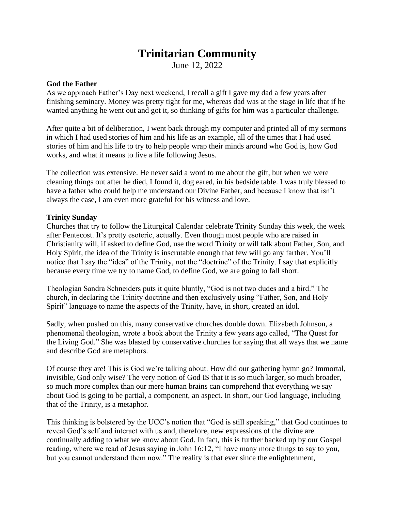# **Trinitarian Community**

June 12, 2022

### **God the Father**

As we approach Father's Day next weekend, I recall a gift I gave my dad a few years after finishing seminary. Money was pretty tight for me, whereas dad was at the stage in life that if he wanted anything he went out and got it, so thinking of gifts for him was a particular challenge.

After quite a bit of deliberation, I went back through my computer and printed all of my sermons in which I had used stories of him and his life as an example, all of the times that I had used stories of him and his life to try to help people wrap their minds around who God is, how God works, and what it means to live a life following Jesus.

The collection was extensive. He never said a word to me about the gift, but when we were cleaning things out after he died, I found it, dog eared, in his bedside table. I was truly blessed to have a father who could help me understand our Divine Father, and because I know that isn't always the case, I am even more grateful for his witness and love.

# **Trinity Sunday**

Churches that try to follow the Liturgical Calendar celebrate Trinity Sunday this week, the week after Pentecost. It's pretty esoteric, actually. Even though most people who are raised in Christianity will, if asked to define God, use the word Trinity or will talk about Father, Son, and Holy Spirit, the idea of the Trinity is inscrutable enough that few will go any farther. You'll notice that I say the "idea" of the Trinity, not the "doctrine" of the Trinity. I say that explicitly because every time we try to name God, to define God, we are going to fall short.

Theologian Sandra Schneiders puts it quite bluntly, "God is not two dudes and a bird." The church, in declaring the Trinity doctrine and then exclusively using "Father, Son, and Holy Spirit" language to name the aspects of the Trinity, have, in short, created an idol.

Sadly, when pushed on this, many conservative churches double down. Elizabeth Johnson, a phenomenal theologian, wrote a book about the Trinity a few years ago called, "The Quest for the Living God." She was blasted by conservative churches for saying that all ways that we name and describe God are metaphors.

Of course they are! This is God we're talking about. How did our gathering hymn go? Immortal, invisible, God only wise? The very notion of God IS that it is so much larger, so much broader, so much more complex than our mere human brains can comprehend that everything we say about God is going to be partial, a component, an aspect. In short, our God language, including that of the Trinity, is a metaphor.

This thinking is bolstered by the UCC's notion that "God is still speaking," that God continues to reveal God's self and interact with us and, therefore, new expressions of the divine are continually adding to what we know about God. In fact, this is further backed up by our Gospel reading, where we read of Jesus saying in John 16:12, "I have many more things to say to you, but you cannot understand them now." The reality is that ever since the enlightenment,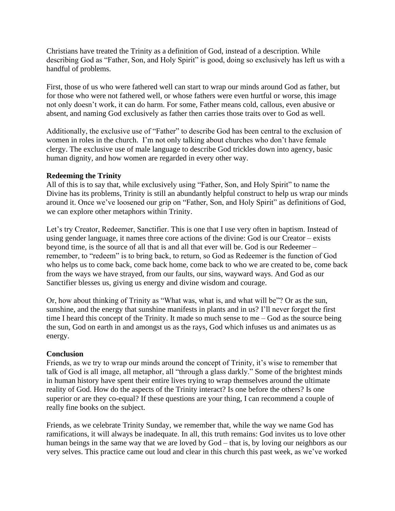Christians have treated the Trinity as a definition of God, instead of a description. While describing God as "Father, Son, and Holy Spirit" is good, doing so exclusively has left us with a handful of problems.

First, those of us who were fathered well can start to wrap our minds around God as father, but for those who were not fathered well, or whose fathers were even hurtful or worse, this image not only doesn't work, it can do harm. For some, Father means cold, callous, even abusive or absent, and naming God exclusively as father then carries those traits over to God as well.

Additionally, the exclusive use of "Father" to describe God has been central to the exclusion of women in roles in the church. I'm not only talking about churches who don't have female clergy. The exclusive use of male language to describe God trickles down into agency, basic human dignity, and how women are regarded in every other way.

### **Redeeming the Trinity**

All of this is to say that, while exclusively using "Father, Son, and Holy Spirit" to name the Divine has its problems, Trinity is still an abundantly helpful construct to help us wrap our minds around it. Once we've loosened our grip on "Father, Son, and Holy Spirit" as definitions of God, we can explore other metaphors within Trinity.

Let's try Creator, Redeemer, Sanctifier. This is one that I use very often in baptism. Instead of using gender language, it names three core actions of the divine: God is our Creator – exists beyond time, is the source of all that is and all that ever will be. God is our Redeemer – remember, to "redeem" is to bring back, to return, so God as Redeemer is the function of God who helps us to come back, come back home, come back to who we are created to be, come back from the ways we have strayed, from our faults, our sins, wayward ways. And God as our Sanctifier blesses us, giving us energy and divine wisdom and courage.

Or, how about thinking of Trinity as "What was, what is, and what will be"? Or as the sun, sunshine, and the energy that sunshine manifests in plants and in us? I'll never forget the first time I heard this concept of the Trinity. It made so much sense to me – God as the source being the sun, God on earth in and amongst us as the rays, God which infuses us and animates us as energy.

# **Conclusion**

Friends, as we try to wrap our minds around the concept of Trinity, it's wise to remember that talk of God is all image, all metaphor, all "through a glass darkly." Some of the brightest minds in human history have spent their entire lives trying to wrap themselves around the ultimate reality of God. How do the aspects of the Trinity interact? Is one before the others? Is one superior or are they co-equal? If these questions are your thing, I can recommend a couple of really fine books on the subject.

Friends, as we celebrate Trinity Sunday, we remember that, while the way we name God has ramifications, it will always be inadequate. In all, this truth remains: God invites us to love other human beings in the same way that we are loved by God – that is, by loving our neighbors as our very selves. This practice came out loud and clear in this church this past week, as we've worked